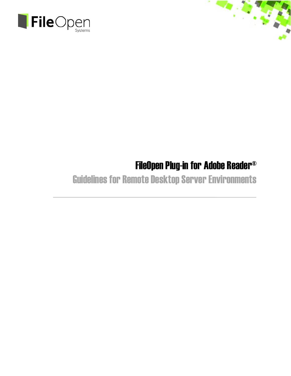



## Guidelines for Remote Desktop Server Environments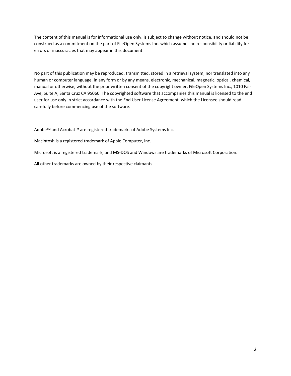The content of this manual is for informational use only, is subject to change without notice, and should not be construed as a commitment on the part of FileOpen Systems Inc. which assumes no responsibility or liability for errors or inaccuracies that may appear in this document.

No part of this publication may be reproduced, transmitted, stored in a retrieval system, nor translated into any human or computer language, in any form or by any means, electronic, mechanical, magnetic, optical, chemical, manual or otherwise, without the prior written consent of the copyright owner, FileOpen Systems Inc., 1010 Fair Ave, Suite A, Santa Cruz CA 95060. The copyrighted software that accompanies this manual is licensed to the end user for use only in strict accordance with the End User License Agreement, which the Licensee should read carefully before commencing use of the software.

Adobe™ and Acrobat™ are registered trademarks of Adobe Systems Inc.

Macintosh is a registered trademark of Apple Computer, Inc.

Microsoft is a registered trademark, and MS‐DOS and Windows are trademarks of Microsoft Corporation.

All other trademarks are owned by their respective claimants.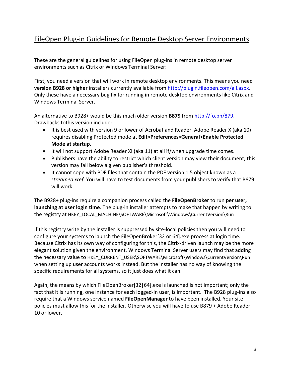## FileOpen Plug‐in Guidelines for Remote Desktop Server Environments

These are the general guidelines for using FileOpen plug‐ins in remote desktop server environments such as Citrix or Windows Terminal Server:

First, you need a version that will work in remote desktop environments. This means you need **version B928 or higher** installers currently available from http://plugin.fileopen.com/all.aspx. Only these have a necessary bug fix for running in remote desktop environments like Citrix and Windows Terminal Server.

An alternative to B928+ would be this much older version **B879** from http://fo.pn/879. Drawbacks tothis version include:

- It is best used with version 9 or lower of Acrobat and Reader. Adobe Reader X (aka 10) requires disabling Protected mode at **Edit>Preferences>General>Enable Protected Mode at startup.**
- It will not support Adobe Reader XI (aka 11) at all if/when upgrade time comes.
- Publishers have the ability to restrict which client version may view their document; this version may fall below a given publisher's threshold.
- It cannot cope with PDF files that contain the PDF version 1.5 object known as a *streamed xref*. You will have to test documents from your publishers to verify that B879 will work.

The B928+ plug‐ins require a companion process called the **FileOpenBroker** to run **per user, launching at user login time**. The plug‐in installer attempts to make that happen by writing to the registry at HKEY\_LOCAL\_MACHINE\SOFTWARE\Microsoft\Windows\CurrentVersion\Run

If this registry write by the installer is suppressed by site‐local policies then you will need to configure your systems to launch the FileOpenBroker[32 or 64].exe process at login time. Because Citrix has its own way of configuring for this, the Citrix-driven launch may be the more elegant solution given the environment. Windows Terminal Server users may find that adding the necessary value to HKEY\_CURRENT\_USER\SOFTWARE\Microsoft\Windows\CurrentVersion\Run when setting up user accounts works instead. But the installer has no way of knowing the specific requirements for all systems, so it just does what it can.

Again, the means by which FileOpenBroker[32|64].exe is launched is not important; only the fact that it is running, one instance for each logged-in user, is important. The B928 plug-ins also require that a Windows service named **FileOpenManager** to have been installed. Your site policies must allow this for the installer. Otherwise you will have to use B879 + Adobe Reader 10 or lower.